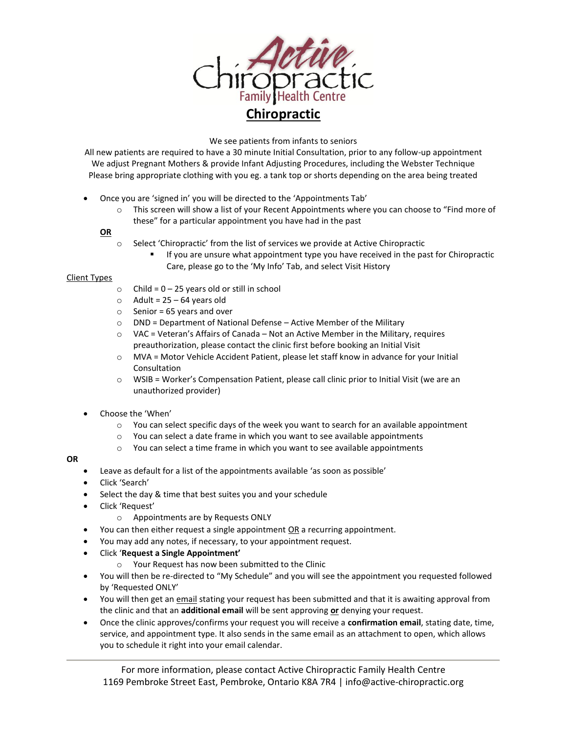

## We see patients from infants to seniors

All new patients are required to have a 30 minute Initial Consultation, prior to any follow-up appointment We adjust Pregnant Mothers & provide Infant Adjusting Procedures, including the Webster Technique Please bring appropriate clothing with you eg. a tank top or shorts depending on the area being treated

- Once you are 'signed in' you will be directed to the 'Appointments Tab'
	- o This screen will show a list of your Recent Appointments where you can choose to "Find more of these" for a particular appointment you have had in the past

#### **OR**

- o Select 'Chiropractic' from the list of services we provide at Active Chiropractic
	- If you are unsure what appointment type you have received in the past for Chiropractic Care, please go to the 'My Info' Tab, and select Visit History

#### Client Types

- $\circ$  Child = 0 25 years old or still in school
- $\circ$  Adult = 25 64 years old
- $\circ$  Senior = 65 years and over
- o DND = Department of National Defense Active Member of the Military
- $\circ$  VAC = Veteran's Affairs of Canada Not an Active Member in the Military, requires preauthorization, please contact the clinic first before booking an Initial Visit
- o MVA = Motor Vehicle Accident Patient, please let staff know in advance for your Initial Consultation
- $\circ$  WSIB = Worker's Compensation Patient, please call clinic prior to Initial Visit (we are an unauthorized provider)
- Choose the 'When'
	- $\circ$  You can select specific days of the week you want to search for an available appointment
	- o You can select a date frame in which you want to see available appointments
	- $\circ$  You can select a time frame in which you want to see available appointments

## **OR**

- Leave as default for a list of the appointments available 'as soon as possible'
- Click 'Search'
- Select the day & time that best suites you and your schedule
- Click 'Request'
	- o Appointments are by Requests ONLY
- $\bullet$  You can then either request a single appointment OR a recurring appointment.
- You may add any notes, if necessary, to your appointment request.
- Click '**Request a Single Appointment'**
	- o Your Request has now been submitted to the Clinic
- You will then be re-directed to "My Schedule" and you will see the appointment you requested followed by 'Requested ONLY'
- You will then get an email stating your request has been submitted and that it is awaiting approval from the clinic and that an **additional email** will be sent approving **or** denying your request.
- Once the clinic approves/confirms your request you will receive a **confirmation email**, stating date, time, service, and appointment type. It also sends in the same email as an attachment to open, which allows you to schedule it right into your email calendar.

For more information, please contact Active Chiropractic Family Health Centre 1169 Pembroke Street East, Pembroke, Ontario K8A 7R4 | info@active-chiropractic.org